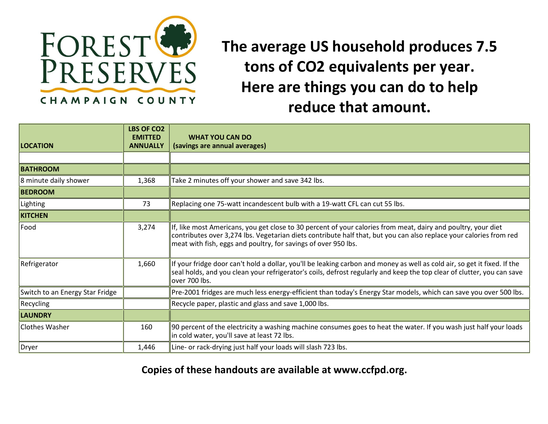

**The average US household produces 7.5 tons of CO2 equivalents per year. Here are things you can do to help reduce that amount.**

| <b>LOCATION</b>                 | <b>LBS OF CO2</b><br><b>EMITTED</b><br><b>ANNUALLY</b> | <b>WHAT YOU CAN DO</b><br>(savings are annual averages)                                                                                                                                                                                                                                               |
|---------------------------------|--------------------------------------------------------|-------------------------------------------------------------------------------------------------------------------------------------------------------------------------------------------------------------------------------------------------------------------------------------------------------|
|                                 |                                                        |                                                                                                                                                                                                                                                                                                       |
| <b>BATHROOM</b>                 |                                                        |                                                                                                                                                                                                                                                                                                       |
| 8 minute daily shower           | 1,368                                                  | Take 2 minutes off your shower and save 342 lbs.                                                                                                                                                                                                                                                      |
| <b>BEDROOM</b>                  |                                                        |                                                                                                                                                                                                                                                                                                       |
| Lighting                        | 73                                                     | Replacing one 75-watt incandescent bulb with a 19-watt CFL can cut 55 lbs.                                                                                                                                                                                                                            |
| <b>KITCHEN</b>                  |                                                        |                                                                                                                                                                                                                                                                                                       |
| Food                            | 3,274                                                  | If, like most Americans, you get close to 30 percent of your calories from meat, dairy and poultry, your diet<br>contributes over 3,274 lbs. Vegetarian diets contribute half that, but you can also replace your calories from red<br>meat with fish, eggs and poultry, for savings of over 950 lbs. |
| Refrigerator                    | 1,660                                                  | If your fridge door can't hold a dollar, you'll be leaking carbon and money as well as cold air, so get it fixed. If the<br>seal holds, and you clean your refrigerator's coils, defrost regularly and keep the top clear of clutter, you can save<br>over 700 lbs.                                   |
| Switch to an Energy Star Fridge |                                                        | Pre-2001 fridges are much less energy-efficient than today's Energy Star models, which can save you over 500 lbs.                                                                                                                                                                                     |
| Recycling                       |                                                        | Recycle paper, plastic and glass and save 1,000 lbs.                                                                                                                                                                                                                                                  |
| <b>LAUNDRY</b>                  |                                                        |                                                                                                                                                                                                                                                                                                       |
| Clothes Washer                  | 160                                                    | 90 percent of the electricity a washing machine consumes goes to heat the water. If you wash just half your loads<br>in cold water, you'll save at least 72 lbs.                                                                                                                                      |
| Dryer                           | 1,446                                                  | Line- or rack-drying just half your loads will slash 723 lbs.                                                                                                                                                                                                                                         |

**Copies of these handouts are available at www.ccfpd.org.**